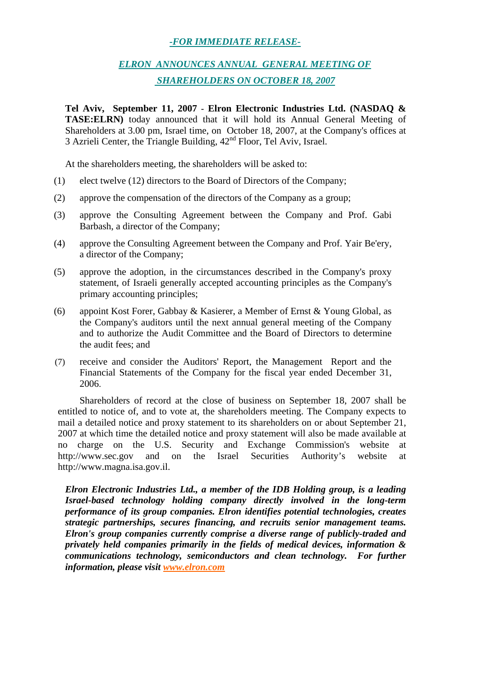## *-FOR IMMEDIATE RELEASE-*

## *ELRON ANNOUNCES ANNUAL GENERAL MEETING OF SHAREHOLDERS ON OCTOBER 18, 2007*

**Tel Aviv, September 11, 2007 - Elron Electronic Industries Ltd. (NASDAQ & TASE:ELRN)** today announced that it will hold its Annual General Meeting of Shareholders at 3.00 pm, Israel time, on October 18, 2007, at the Company's offices at  $3$  Azrieli Center, the Triangle Building,  $42<sup>nd</sup>$  Floor, Tel Aviv, Israel.

At the shareholders meeting, the shareholders will be asked to:

- (1) elect twelve (12) directors to the Board of Directors of the Company;
- (2) approve the compensation of the directors of the Company as a group;
- (3) approve the Consulting Agreement between the Company and Prof. Gabi Barbash, a director of the Company;
- (4) approve the Consulting Agreement between the Company and Prof. Yair Be'ery, a director of the Company;
- (5) approve the adoption, in the circumstances described in the Company's proxy statement, of Israeli generally accepted accounting principles as the Company's primary accounting principles;
- (6) appoint Kost Forer, Gabbay & Kasierer, a Member of Ernst & Young Global, as the Company's auditors until the next annual general meeting of the Company and to authorize the Audit Committee and the Board of Directors to determine the audit fees; and
- (7) receive and consider the Auditors' Report, the Management Report and the Financial Statements of the Company for the fiscal year ended December 31, 2006.

Shareholders of record at the close of business on September 18, 2007 shall be entitled to notice of, and to vote at, the shareholders meeting. The Company expects to mail a detailed notice and proxy statement to its shareholders on or about September 21, 2007 at which time the detailed notice and proxy statement will also be made available at no charge on the U.S. Security and Exchange Commission's website at http://www.sec.gov and on the Israel Securities Authority's website at http://www.magna.isa.gov.il.

*Elron Electronic Industries Ltd., a member of the IDB Holding group, is a leading Israel-based technology holding company directly involved in the long-term performance of its group companies. Elron identifies potential technologies, creates strategic partnerships, secures financing, and recruits senior management teams. Elron's group companies currently comprise a diverse range of publicly-traded and privately held companies primarily in the fields of medical devices, information & communications technology, semiconductors and clean technology. For further information, please visit www.elron.com*